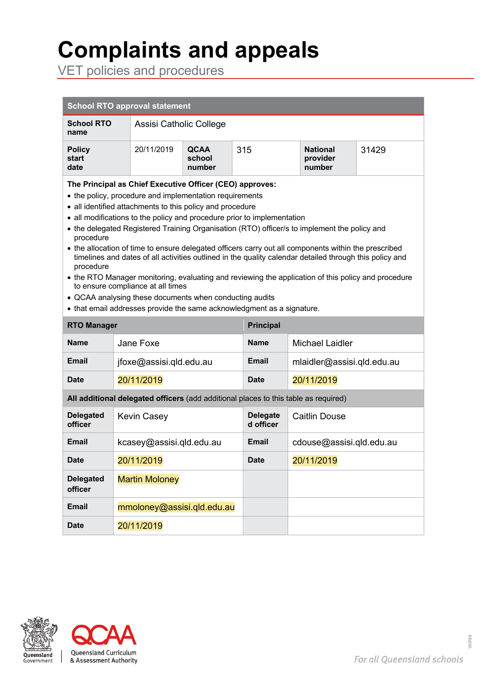# **<sup>1</sup> Complaints and appeals**

VET policies and procedures

| <b>School RTO approval statement</b>                                                                                                                                                                                                                                                                                                                                                                                                                                                                                                                                                                                                                                                                                                                                                                                                                                                      |                                                                                     |                                 |                              |                                                |  |  |
|-------------------------------------------------------------------------------------------------------------------------------------------------------------------------------------------------------------------------------------------------------------------------------------------------------------------------------------------------------------------------------------------------------------------------------------------------------------------------------------------------------------------------------------------------------------------------------------------------------------------------------------------------------------------------------------------------------------------------------------------------------------------------------------------------------------------------------------------------------------------------------------------|-------------------------------------------------------------------------------------|---------------------------------|------------------------------|------------------------------------------------|--|--|
| <b>School RTO</b><br>name                                                                                                                                                                                                                                                                                                                                                                                                                                                                                                                                                                                                                                                                                                                                                                                                                                                                 | Assisi Catholic College                                                             |                                 |                              |                                                |  |  |
| <b>Policy</b><br>start<br>date                                                                                                                                                                                                                                                                                                                                                                                                                                                                                                                                                                                                                                                                                                                                                                                                                                                            | 20/11/2019                                                                          | <b>QCAA</b><br>school<br>number | 315                          | <b>National</b><br>31429<br>provider<br>number |  |  |
| The Principal as Chief Executive Officer (CEO) approves:<br>• the policy, procedure and implementation requirements<br>• all identified attachments to this policy and procedure<br>• all modifications to the policy and procedure prior to implementation<br>• the delegated Registered Training Organisation (RTO) officer/s to implement the policy and<br>procedure<br>• the allocation of time to ensure delegated officers carry out all components within the prescribed<br>timelines and dates of all activities outlined in the quality calendar detailed through this policy and<br>procedure<br>• the RTO Manager monitoring, evaluating and reviewing the application of this policy and procedure<br>to ensure compliance at all times<br>• QCAA analysing these documents when conducting audits<br>• that email addresses provide the same acknowledgment as a signature. |                                                                                     |                                 |                              |                                                |  |  |
| <b>RTO Manager</b>                                                                                                                                                                                                                                                                                                                                                                                                                                                                                                                                                                                                                                                                                                                                                                                                                                                                        |                                                                                     |                                 | <b>Principal</b>             |                                                |  |  |
| <b>Name</b>                                                                                                                                                                                                                                                                                                                                                                                                                                                                                                                                                                                                                                                                                                                                                                                                                                                                               | Jane Foxe                                                                           |                                 | <b>Name</b>                  | <b>Michael Laidler</b>                         |  |  |
| <b>Email</b>                                                                                                                                                                                                                                                                                                                                                                                                                                                                                                                                                                                                                                                                                                                                                                                                                                                                              | jfoxe@assisi.qld.edu.au                                                             |                                 | <b>Email</b>                 | mlaidler@assisi.qld.edu.au                     |  |  |
| <b>Date</b>                                                                                                                                                                                                                                                                                                                                                                                                                                                                                                                                                                                                                                                                                                                                                                                                                                                                               | 20/11/2019                                                                          |                                 | <b>Date</b>                  | 20/11/2019                                     |  |  |
|                                                                                                                                                                                                                                                                                                                                                                                                                                                                                                                                                                                                                                                                                                                                                                                                                                                                                           | All additional delegated officers (add additional places to this table as required) |                                 |                              |                                                |  |  |
| <b>Delegated</b><br>officer                                                                                                                                                                                                                                                                                                                                                                                                                                                                                                                                                                                                                                                                                                                                                                                                                                                               | <b>Kevin Casey</b>                                                                  |                                 | <b>Delegate</b><br>d officer | <b>Caitlin Douse</b>                           |  |  |
| Email                                                                                                                                                                                                                                                                                                                                                                                                                                                                                                                                                                                                                                                                                                                                                                                                                                                                                     | kcasey@assisi.qld.edu.au                                                            |                                 | Email                        | cdouse@assisi.qld.edu.au                       |  |  |
| <b>Date</b>                                                                                                                                                                                                                                                                                                                                                                                                                                                                                                                                                                                                                                                                                                                                                                                                                                                                               | 20/11/2019                                                                          |                                 |                              | 20/11/2019                                     |  |  |
| <b>Delegated</b><br>officer                                                                                                                                                                                                                                                                                                                                                                                                                                                                                                                                                                                                                                                                                                                                                                                                                                                               | <b>Martin Moloney</b>                                                               |                                 |                              |                                                |  |  |
| <b>Email</b>                                                                                                                                                                                                                                                                                                                                                                                                                                                                                                                                                                                                                                                                                                                                                                                                                                                                              | mmoloney@assisi.qld.edu.au                                                          |                                 |                              |                                                |  |  |
| <b>Date</b>                                                                                                                                                                                                                                                                                                                                                                                                                                                                                                                                                                                                                                                                                                                                                                                                                                                                               | 20/11/2019                                                                          |                                 |                              |                                                |  |  |



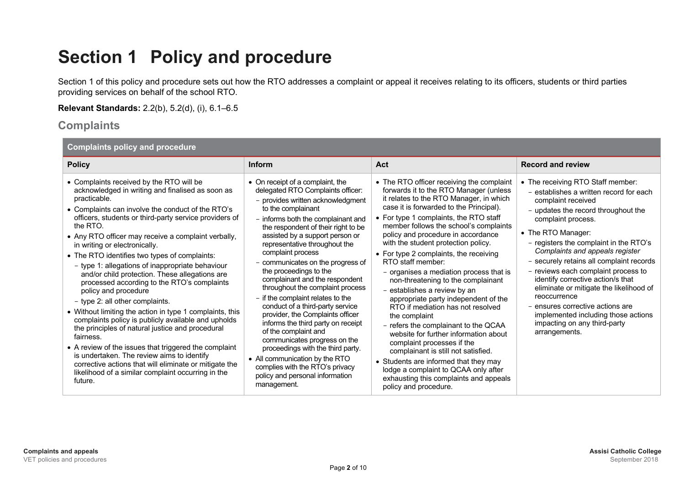### **Section 1 Policy and procedure**

Section 1 of this policy and procedure sets out how the RTO addresses a complaint or appeal it receives relating to its officers, students or third parties providing services on behalf of the school RTO.

**Relevant Standards:** 2.2(b), 5.2(d), (i), 6.1–6.5

### **Complaints**

| <b>Complaints policy and procedure</b> |  |  |  |  |  |
|----------------------------------------|--|--|--|--|--|
|----------------------------------------|--|--|--|--|--|

| <b>Policy</b>                                                                                                                                                                                                                                                                                                                                                                                                                                                                                                                                                                                                                                                                                                                                                                                                                                                                                                                                                                                                          | <b>Inform</b>                                                                                                                                                                                                                                                                                                                                                                                                                                                                                                                                                                                                                                                                                                                                                                                                      | Act                                                                                                                                                                                                                                                                                                                                                                                                                                                                                                                                                                                                                                                                                                                                                                                                                                                                                                                                | <b>Record and review</b>                                                                                                                                                                                                                                                                                                                                                                                                                                                                                                                                                          |
|------------------------------------------------------------------------------------------------------------------------------------------------------------------------------------------------------------------------------------------------------------------------------------------------------------------------------------------------------------------------------------------------------------------------------------------------------------------------------------------------------------------------------------------------------------------------------------------------------------------------------------------------------------------------------------------------------------------------------------------------------------------------------------------------------------------------------------------------------------------------------------------------------------------------------------------------------------------------------------------------------------------------|--------------------------------------------------------------------------------------------------------------------------------------------------------------------------------------------------------------------------------------------------------------------------------------------------------------------------------------------------------------------------------------------------------------------------------------------------------------------------------------------------------------------------------------------------------------------------------------------------------------------------------------------------------------------------------------------------------------------------------------------------------------------------------------------------------------------|------------------------------------------------------------------------------------------------------------------------------------------------------------------------------------------------------------------------------------------------------------------------------------------------------------------------------------------------------------------------------------------------------------------------------------------------------------------------------------------------------------------------------------------------------------------------------------------------------------------------------------------------------------------------------------------------------------------------------------------------------------------------------------------------------------------------------------------------------------------------------------------------------------------------------------|-----------------------------------------------------------------------------------------------------------------------------------------------------------------------------------------------------------------------------------------------------------------------------------------------------------------------------------------------------------------------------------------------------------------------------------------------------------------------------------------------------------------------------------------------------------------------------------|
| • Complaints received by the RTO will be<br>acknowledged in writing and finalised as soon as<br>practicable.<br>• Complaints can involve the conduct of the RTO's<br>officers, students or third-party service providers of<br>the RTO.<br>• Any RTO officer may receive a complaint verbally,<br>in writing or electronically.<br>• The RTO identifies two types of complaints:<br>- type 1: allegations of inappropriate behaviour<br>and/or child protection. These allegations are<br>processed according to the RTO's complaints<br>policy and procedure<br>- type 2: all other complaints.<br>• Without limiting the action in type 1 complaints, this<br>complaints policy is publicly available and upholds<br>the principles of natural justice and procedural<br>fairness.<br>• A review of the issues that triggered the complaint<br>is undertaken. The review aims to identify<br>corrective actions that will eliminate or mitigate the<br>likelihood of a similar complaint occurring in the<br>future. | • On receipt of a complaint, the<br>delegated RTO Complaints officer:<br>- provides written acknowledgment<br>to the complainant<br>- informs both the complainant and<br>the respondent of their right to be<br>assisted by a support person or<br>representative throughout the<br>complaint process<br>- communicates on the progress of<br>the proceedings to the<br>complainant and the respondent<br>throughout the complaint process<br>- if the complaint relates to the<br>conduct of a third-party service<br>provider, the Complaints officer<br>informs the third party on receipt<br>of the complaint and<br>communicates progress on the<br>proceedings with the third party.<br>• All communication by the RTO<br>complies with the RTO's privacy<br>policy and personal information<br>management. | • The RTO officer receiving the complaint<br>forwards it to the RTO Manager (unless<br>it relates to the RTO Manager, in which<br>case it is forwarded to the Principal).<br>• For type 1 complaints, the RTO staff<br>member follows the school's complaints<br>policy and procedure in accordance<br>with the student protection policy.<br>• For type 2 complaints, the receiving<br>RTO staff member:<br>- organises a mediation process that is<br>non-threatening to the complainant<br>- establishes a review by an<br>appropriate party independent of the<br>RTO if mediation has not resolved<br>the complaint<br>- refers the complainant to the QCAA<br>website for further information about<br>complaint processes if the<br>complainant is still not satisfied.<br>• Students are informed that they may<br>lodge a complaint to QCAA only after<br>exhausting this complaints and appeals<br>policy and procedure. | • The receiving RTO Staff member:<br>- establishes a written record for each<br>complaint received<br>- updates the record throughout the<br>complaint process.<br>• The RTO Manager:<br>- registers the complaint in the RTO's<br>Complaints and appeals register<br>- securely retains all complaint records<br>- reviews each complaint process to<br>identify corrective action/s that<br>eliminate or mitigate the likelihood of<br>reoccurrence<br>- ensures corrective actions are<br>implemented including those actions<br>impacting on any third-party<br>arrangements. |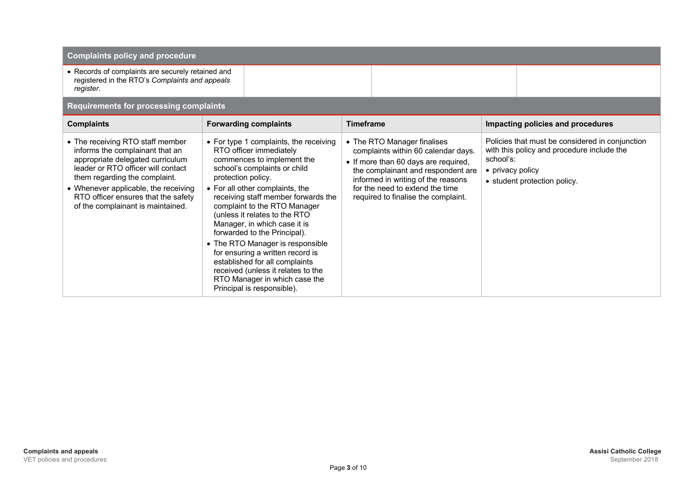| <b>Complaints policy and procedure</b>                                                                                                                                                                                                                                                             |                                                                                                                                                                                                                                                                                                                                                                                                                                                                                                                                                                                 |                                                                                                                                                                                                                                                                  |                                                                                                                                                                |  |  |  |
|----------------------------------------------------------------------------------------------------------------------------------------------------------------------------------------------------------------------------------------------------------------------------------------------------|---------------------------------------------------------------------------------------------------------------------------------------------------------------------------------------------------------------------------------------------------------------------------------------------------------------------------------------------------------------------------------------------------------------------------------------------------------------------------------------------------------------------------------------------------------------------------------|------------------------------------------------------------------------------------------------------------------------------------------------------------------------------------------------------------------------------------------------------------------|----------------------------------------------------------------------------------------------------------------------------------------------------------------|--|--|--|
| • Records of complaints are securely retained and<br>registered in the RTO's Complaints and appeals<br>register.                                                                                                                                                                                   |                                                                                                                                                                                                                                                                                                                                                                                                                                                                                                                                                                                 |                                                                                                                                                                                                                                                                  |                                                                                                                                                                |  |  |  |
| <b>Requirements for processing complaints</b>                                                                                                                                                                                                                                                      |                                                                                                                                                                                                                                                                                                                                                                                                                                                                                                                                                                                 |                                                                                                                                                                                                                                                                  |                                                                                                                                                                |  |  |  |
| <b>Complaints</b>                                                                                                                                                                                                                                                                                  | <b>Forwarding complaints</b>                                                                                                                                                                                                                                                                                                                                                                                                                                                                                                                                                    | <b>Timeframe</b>                                                                                                                                                                                                                                                 | Impacting policies and procedures                                                                                                                              |  |  |  |
| • The receiving RTO staff member<br>informs the complainant that an<br>appropriate delegated curriculum<br>leader or RTO officer will contact<br>them regarding the complaint.<br>• Whenever applicable, the receiving<br>RTO officer ensures that the safety<br>of the complainant is maintained. | • For type 1 complaints, the receiving<br>RTO officer immediately<br>commences to implement the<br>school's complaints or child<br>protection policy.<br>• For all other complaints, the<br>receiving staff member forwards the<br>complaint to the RTO Manager<br>(unless it relates to the RTO<br>Manager, in which case it is<br>forwarded to the Principal).<br>• The RTO Manager is responsible<br>for ensuring a written record is<br>established for all complaints<br>received (unless it relates to the<br>RTO Manager in which case the<br>Principal is responsible). | • The RTO Manager finalises<br>complaints within 60 calendar days.<br>• If more than 60 days are required,<br>the complainant and respondent are<br>informed in writing of the reasons<br>for the need to extend the time<br>required to finalise the complaint. | Policies that must be considered in conjunction<br>with this policy and procedure include the<br>school's:<br>• privacy policy<br>• student protection policy. |  |  |  |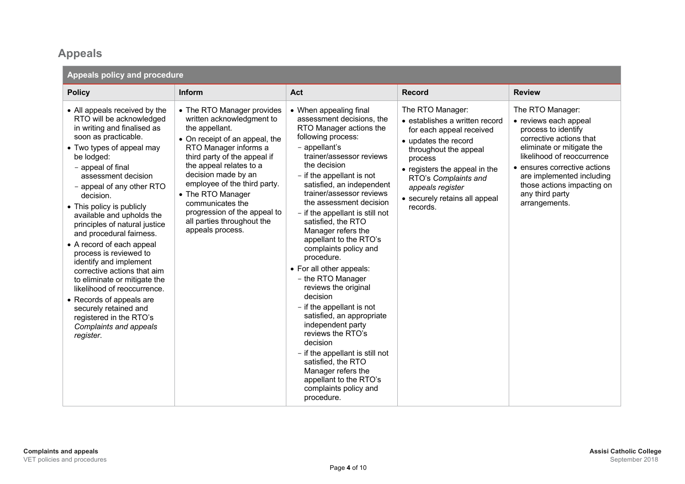### **Appeals**

| Appeals policy and procedure                                                                                                                                                                                                                                                                                                                                                                                                                                                                                                                                                                                                                                                   |                                                                                                                                                                                                                                                                                                                                                                                   |                                                                                                                                                                                                                                                                                                                                                                                                                                                                                                                                                                                                                                                                                                                                                                                         |                                                                                                                                                                                                                                                                      |                                                                                                                                                                                                                                                                                       |  |  |  |
|--------------------------------------------------------------------------------------------------------------------------------------------------------------------------------------------------------------------------------------------------------------------------------------------------------------------------------------------------------------------------------------------------------------------------------------------------------------------------------------------------------------------------------------------------------------------------------------------------------------------------------------------------------------------------------|-----------------------------------------------------------------------------------------------------------------------------------------------------------------------------------------------------------------------------------------------------------------------------------------------------------------------------------------------------------------------------------|-----------------------------------------------------------------------------------------------------------------------------------------------------------------------------------------------------------------------------------------------------------------------------------------------------------------------------------------------------------------------------------------------------------------------------------------------------------------------------------------------------------------------------------------------------------------------------------------------------------------------------------------------------------------------------------------------------------------------------------------------------------------------------------------|----------------------------------------------------------------------------------------------------------------------------------------------------------------------------------------------------------------------------------------------------------------------|---------------------------------------------------------------------------------------------------------------------------------------------------------------------------------------------------------------------------------------------------------------------------------------|--|--|--|
| <b>Policy</b>                                                                                                                                                                                                                                                                                                                                                                                                                                                                                                                                                                                                                                                                  | Inform                                                                                                                                                                                                                                                                                                                                                                            | Act                                                                                                                                                                                                                                                                                                                                                                                                                                                                                                                                                                                                                                                                                                                                                                                     | <b>Record</b>                                                                                                                                                                                                                                                        | <b>Review</b>                                                                                                                                                                                                                                                                         |  |  |  |
| • All appeals received by the<br>RTO will be acknowledged<br>in writing and finalised as<br>soon as practicable.<br>• Two types of appeal may<br>be lodged:<br>- appeal of final<br>assessment decision<br>- appeal of any other RTO<br>decision.<br>• This policy is publicly<br>available and upholds the<br>principles of natural justice<br>and procedural fairness.<br>• A record of each appeal<br>process is reviewed to<br>identify and implement<br>corrective actions that aim<br>to eliminate or mitigate the<br>likelihood of reoccurrence.<br>• Records of appeals are<br>securely retained and<br>registered in the RTO's<br>Complaints and appeals<br>register. | • The RTO Manager provides<br>written acknowledgment to<br>the appellant.<br>• On receipt of an appeal, the<br>RTO Manager informs a<br>third party of the appeal if<br>the appeal relates to a<br>decision made by an<br>employee of the third party.<br>• The RTO Manager<br>communicates the<br>progression of the appeal to<br>all parties throughout the<br>appeals process. | • When appealing final<br>assessment decisions, the<br>RTO Manager actions the<br>following process:<br>- appellant's<br>trainer/assessor reviews<br>the decision<br>- if the appellant is not<br>satisfied, an independent<br>trainer/assessor reviews<br>the assessment decision<br>- if the appellant is still not<br>satisfied, the RTO<br>Manager refers the<br>appellant to the RTO's<br>complaints policy and<br>procedure.<br>• For all other appeals:<br>- the RTO Manager<br>reviews the original<br>decision<br>- if the appellant is not<br>satisfied, an appropriate<br>independent party<br>reviews the RTO's<br>decision<br>- if the appellant is still not<br>satisfied, the RTO<br>Manager refers the<br>appellant to the RTO's<br>complaints policy and<br>procedure. | The RTO Manager:<br>· establishes a written record<br>for each appeal received<br>• updates the record<br>throughout the appeal<br>process<br>• registers the appeal in the<br>RTO's Complaints and<br>appeals register<br>• securely retains all appeal<br>records. | The RTO Manager:<br>• reviews each appeal<br>process to identify<br>corrective actions that<br>eliminate or mitigate the<br>likelihood of reoccurrence<br>• ensures corrective actions<br>are implemented including<br>those actions impacting on<br>any third party<br>arrangements. |  |  |  |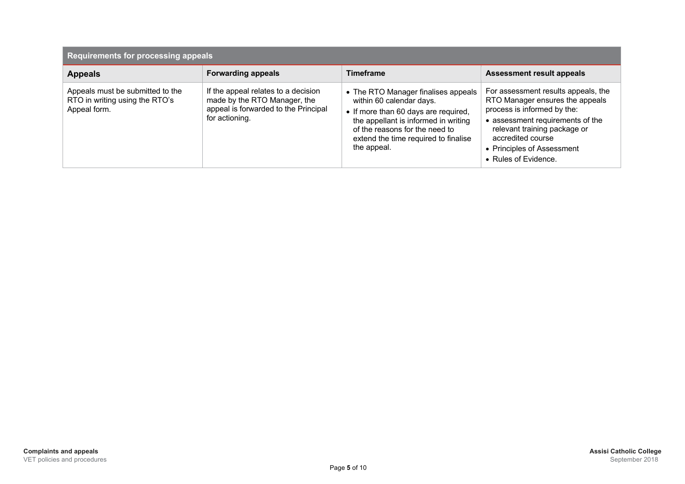| <b>Requirements for processing appeals</b>                                         |                                                                                                                               |                                                                                                                                                                                                                                          |                                                                                                                                                                                                                                                      |  |  |  |
|------------------------------------------------------------------------------------|-------------------------------------------------------------------------------------------------------------------------------|------------------------------------------------------------------------------------------------------------------------------------------------------------------------------------------------------------------------------------------|------------------------------------------------------------------------------------------------------------------------------------------------------------------------------------------------------------------------------------------------------|--|--|--|
| <b>Appeals</b>                                                                     | <b>Forwarding appeals</b>                                                                                                     | Timeframe                                                                                                                                                                                                                                | <b>Assessment result appeals</b>                                                                                                                                                                                                                     |  |  |  |
| Appeals must be submitted to the<br>RTO in writing using the RTO's<br>Appeal form. | If the appeal relates to a decision<br>made by the RTO Manager, the<br>appeal is forwarded to the Principal<br>for actioning. | • The RTO Manager finalises appeals<br>within 60 calendar days.<br>• If more than 60 days are required,<br>the appellant is informed in writing<br>of the reasons for the need to<br>extend the time required to finalise<br>the appeal. | For assessment results appeals, the<br>RTO Manager ensures the appeals<br>process is informed by the:<br>• assessment requirements of the<br>relevant training package or<br>accredited course<br>• Principles of Assessment<br>• Rules of Evidence. |  |  |  |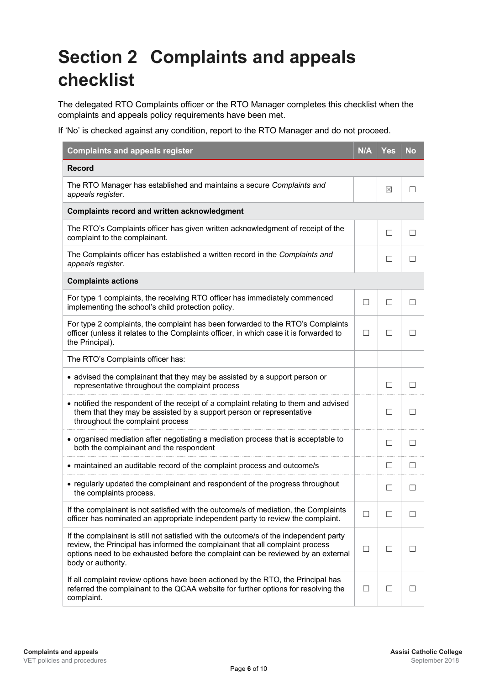## **Section 2 Complaints and appeals checklist**

The delegated RTO Complaints officer or the RTO Manager completes this checklist when the complaints and appeals policy requirements have been met.

If 'No' is checked against any condition, report to the RTO Manager and do not proceed.

| <b>Complaints and appeals register</b>                                                                                                                                                                                                                                           | N/A    | Yes    | No           |
|----------------------------------------------------------------------------------------------------------------------------------------------------------------------------------------------------------------------------------------------------------------------------------|--------|--------|--------------|
| <b>Record</b>                                                                                                                                                                                                                                                                    |        |        |              |
| The RTO Manager has established and maintains a secure Complaints and<br>appeals register.                                                                                                                                                                                       |        | ⊠      |              |
| <b>Complaints record and written acknowledgment</b>                                                                                                                                                                                                                              |        |        |              |
| The RTO's Complaints officer has given written acknowledgment of receipt of the<br>complaint to the complainant.                                                                                                                                                                 |        | $\Box$ | П            |
| The Complaints officer has established a written record in the Complaints and<br>appeals register.                                                                                                                                                                               |        | $\Box$ |              |
| <b>Complaints actions</b>                                                                                                                                                                                                                                                        |        |        |              |
| For type 1 complaints, the receiving RTO officer has immediately commenced<br>implementing the school's child protection policy.                                                                                                                                                 |        | $\Box$ |              |
| For type 2 complaints, the complaint has been forwarded to the RTO's Complaints<br>officer (unless it relates to the Complaints officer, in which case it is forwarded to<br>the Principal).                                                                                     | П      | П      |              |
| The RTO's Complaints officer has:                                                                                                                                                                                                                                                |        |        |              |
| • advised the complainant that they may be assisted by a support person or<br>representative throughout the complaint process                                                                                                                                                    |        | $\Box$ | $\mathsf{L}$ |
| • notified the respondent of the receipt of a complaint relating to them and advised<br>them that they may be assisted by a support person or representative<br>throughout the complaint process                                                                                 |        | $\Box$ |              |
| • organised mediation after negotiating a mediation process that is acceptable to<br>both the complainant and the respondent                                                                                                                                                     |        | □      |              |
| • maintained an auditable record of the complaint process and outcome/s                                                                                                                                                                                                          |        | $\Box$ | $\mathsf{L}$ |
| • regularly updated the complainant and respondent of the progress throughout<br>the complaints process.                                                                                                                                                                         |        | $\Box$ |              |
| If the complainant is not satisfied with the outcome/s of mediation, the Complaints<br>officer has nominated an appropriate independent party to review the complaint.                                                                                                           |        |        |              |
| If the complainant is still not satisfied with the outcome/s of the independent party<br>review, the Principal has informed the complainant that all complaint process<br>options need to be exhausted before the complaint can be reviewed by an external<br>body or authority. | $\Box$ | $\Box$ |              |
| If all complaint review options have been actioned by the RTO, the Principal has<br>referred the complainant to the QCAA website for further options for resolving the<br>complaint.                                                                                             |        |        |              |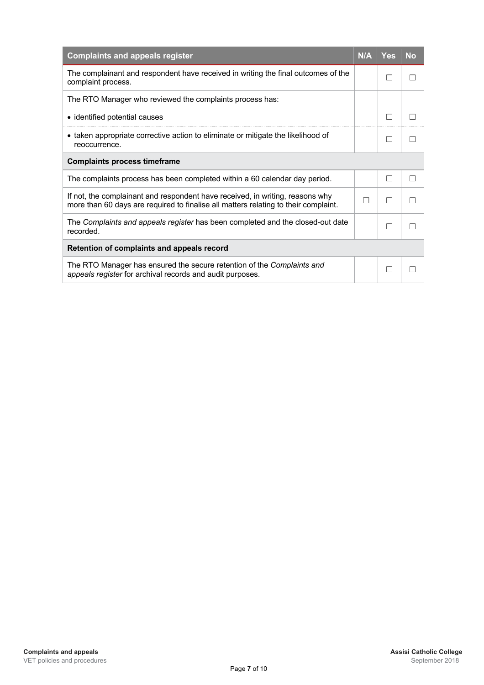| <b>Complaints and appeals register</b>                                                                                                                               | N/A | Yes | <b>No</b> |
|----------------------------------------------------------------------------------------------------------------------------------------------------------------------|-----|-----|-----------|
| The complainant and respondent have received in writing the final outcomes of the<br>complaint process.                                                              |     | П   |           |
| The RTO Manager who reviewed the complaints process has:                                                                                                             |     |     |           |
| • identified potential causes                                                                                                                                        |     | L.  |           |
| • taken appropriate corrective action to eliminate or mitigate the likelihood of<br>reoccurrence.                                                                    |     |     |           |
| <b>Complaints process timeframe</b>                                                                                                                                  |     |     |           |
| The complaints process has been completed within a 60 calendar day period.                                                                                           |     | П   | П         |
| If not, the complainant and respondent have received, in writing, reasons why<br>more than 60 days are required to finalise all matters relating to their complaint. |     | П   |           |
| The Complaints and appeals register has been completed and the closed-out date<br>recorded.                                                                          |     | П   |           |
| Retention of complaints and appeals record                                                                                                                           |     |     |           |
| The RTO Manager has ensured the secure retention of the Complaints and<br>appeals register for archival records and audit purposes.                                  |     |     |           |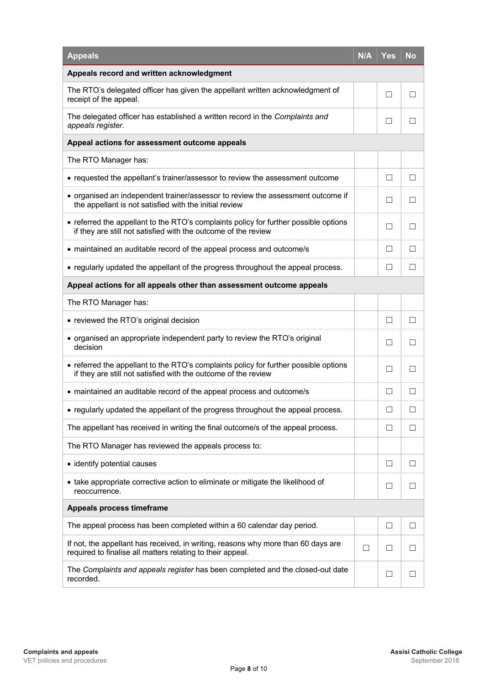| <b>Appeals</b>                                                                                                                                         | <b>N/A</b> | Yes          | No           |
|--------------------------------------------------------------------------------------------------------------------------------------------------------|------------|--------------|--------------|
| Appeals record and written acknowledgment                                                                                                              |            |              |              |
| The RTO's delegated officer has given the appellant written acknowledgment of<br>receipt of the appeal.                                                |            | $\Box$       |              |
| The delegated officer has established a written record in the Complaints and<br>appeals register.                                                      |            |              |              |
| Appeal actions for assessment outcome appeals                                                                                                          |            |              |              |
| The RTO Manager has:                                                                                                                                   |            |              |              |
| • requested the appellant's trainer/assessor to review the assessment outcome                                                                          |            | $\Box$       | $\perp$      |
| • organised an independent trainer/assessor to review the assessment outcome if<br>the appellant is not satisfied with the initial review              |            | $\Box$       |              |
| • referred the appellant to the RTO's complaints policy for further possible options<br>if they are still not satisfied with the outcome of the review |            | $\Box$       |              |
| • maintained an auditable record of the appeal process and outcome/s                                                                                   |            | П            | ΙI           |
| • regularly updated the appellant of the progress throughout the appeal process.                                                                       |            | $\mathsf{L}$ |              |
| Appeal actions for all appeals other than assessment outcome appeals                                                                                   |            |              |              |
| The RTO Manager has:                                                                                                                                   |            |              |              |
| • reviewed the RTO's original decision                                                                                                                 |            | $\Box$       | $\Box$       |
| • organised an appropriate independent party to review the RTO's original<br>decision                                                                  |            | $\perp$      |              |
| • referred the appellant to the RTO's complaints policy for further possible options<br>if they are still not satisfied with the outcome of the review |            | П            | П            |
| • maintained an auditable record of the appeal process and outcome/s                                                                                   |            | $\Box$       | $\mathsf{L}$ |
| • regularly updated the appellant of the progress throughout the appeal process.                                                                       |            | $\Box$       |              |
| The appellant has received in writing the final outcome/s of the appeal process.                                                                       |            | $\Box$       | H            |
| The RTO Manager has reviewed the appeals process to:                                                                                                   |            |              |              |
| • identify potential causes                                                                                                                            |            | $\Box$       | ΙI           |
| • take appropriate corrective action to eliminate or mitigate the likelihood of<br>reoccurrence.                                                       |            | $\Box$       |              |
| Appeals process timeframe                                                                                                                              |            |              |              |
| The appeal process has been completed within a 60 calendar day period.                                                                                 |            | ⊔            | ΙI           |
| If not, the appellant has received, in writing, reasons why more than 60 days are<br>required to finalise all matters relating to their appeal.        |            | $\perp$      |              |
| The Complaints and appeals register has been completed and the closed-out date<br>recorded.                                                            |            | $\Box$       |              |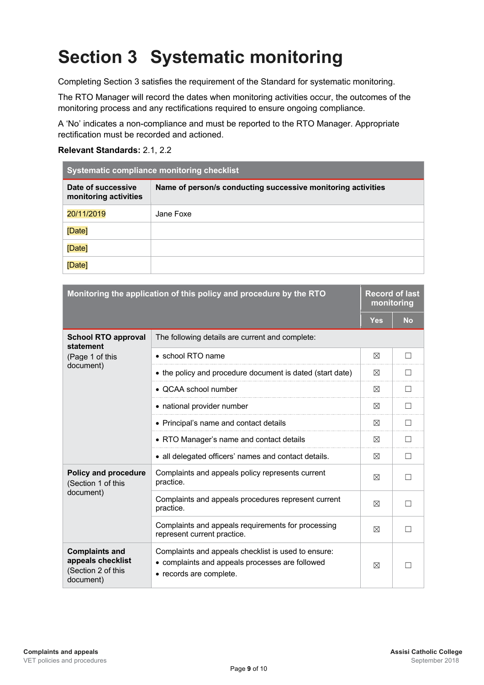# **Section 3 Systematic monitoring**

Completing Section 3 satisfies the requirement of the Standard for systematic monitoring.

The RTO Manager will record the dates when monitoring activities occur, the outcomes of the monitoring process and any rectifications required to ensure ongoing compliance.

A 'No' indicates a non-compliance and must be reported to the RTO Manager. Appropriate rectification must be recorded and actioned.

#### **Relevant Standards:** 2.1, 2.2

| <b>Systematic compliance monitoring checklist</b> |                                                              |  |  |  |
|---------------------------------------------------|--------------------------------------------------------------|--|--|--|
| Date of successive<br>monitoring activities       | Name of person/s conducting successive monitoring activities |  |  |  |
| 20/11/2019                                        | Jane Foxe                                                    |  |  |  |
| [Date]                                            |                                                              |  |  |  |
| [Date]                                            |                                                              |  |  |  |
| [Date]                                            |                                                              |  |  |  |

| Monitoring the application of this policy and procedure by the RTO            |                                                                                                                                   |     | <b>Record of last</b><br>monitoring |  |
|-------------------------------------------------------------------------------|-----------------------------------------------------------------------------------------------------------------------------------|-----|-------------------------------------|--|
|                                                                               |                                                                                                                                   | Yes | <b>No</b>                           |  |
| <b>School RTO approval</b><br>statement                                       | The following details are current and complete:                                                                                   |     |                                     |  |
| (Page 1 of this                                                               | • school RTO name                                                                                                                 | ⊠   | $\Box$                              |  |
| document)                                                                     | • the policy and procedure document is dated (start date)                                                                         | ⊠   | П                                   |  |
|                                                                               | • QCAA school number                                                                                                              | ⊠   | П                                   |  |
|                                                                               | • national provider number                                                                                                        | ⊠   | $\Box$                              |  |
|                                                                               | • Principal's name and contact details                                                                                            | X   | $\Box$                              |  |
|                                                                               | • RTO Manager's name and contact details                                                                                          | ⊠   | П                                   |  |
|                                                                               | • all delegated officers' names and contact details.                                                                              | ⊠   | П                                   |  |
| <b>Policy and procedure</b><br>(Section 1 of this<br>document)                | Complaints and appeals policy represents current<br>practice.                                                                     | ⊠   | П                                   |  |
|                                                                               | Complaints and appeals procedures represent current<br>practice.                                                                  | ⊠   |                                     |  |
|                                                                               | Complaints and appeals requirements for processing<br>represent current practice.                                                 | ⊠   | $\Box$                              |  |
| <b>Complaints and</b><br>appeals checklist<br>(Section 2 of this<br>document) | Complaints and appeals checklist is used to ensure:<br>• complaints and appeals processes are followed<br>• records are complete. | ⊠   |                                     |  |